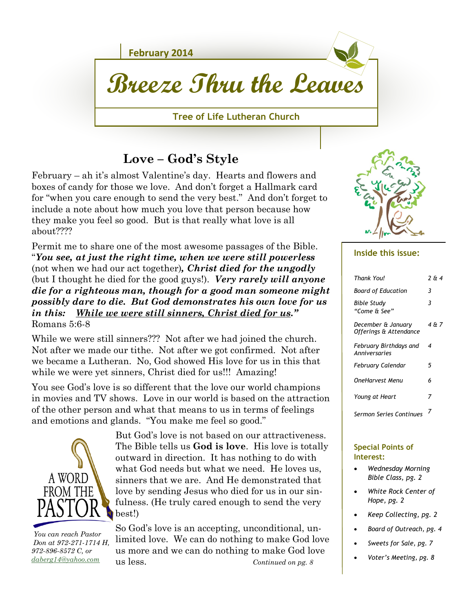

## **Love – God's Style**

February – ah it's almost Valentine's day. Hearts and flowers and boxes of candy for those we love. And don't forget a Hallmark card for "when you care enough to send the very best." And don't forget to include a note about how much you love that person because how they make you feel so good. But is that really what love is all about????

Permit me to share one of the most awesome passages of the Bible. "*You see, at just the right time, when we were still powerless*  (not when we had our act together)*, Christ died for the ungodly* (but I thought he died for the good guys!). *Very rarely will anyone die for a righteous man, though for a good man someone might possibly dare to die. But God demonstrates his own love for us in this: While we were still sinners, Christ died for us."* Romans 5:6-8

While we were still sinners??? Not after we had joined the church. Not after we made our tithe. Not after we got confirmed. Not after we became a Lutheran. No, God showed His love for us in this that while we were yet sinners, Christ died for us!!! Amazing!

You see God's love is so different that the love our world champions in movies and TV shows. Love in our world is based on the attraction of the other person and what that means to us in terms of feelings and emotions and glands. "You make me feel so good."



 *You can reach Pastor Don at 972-271-1714 H, 972-896-8572 C, or [daberg14@yahoo.com](mailto:daberg14@yahoo.com)*

But God's love is not based on our attractiveness. The Bible tells us **God is love**. His love is totally outward in direction. It has nothing to do with what God needs but what we need. He loves us, sinners that we are. And He demonstrated that love by sending Jesus who died for us in our sinfulness. (He truly cared enough to send the very best!)

*Continued on pg. 8* So God's love is an accepting, unconditional, unlimited love. We can do nothing to make God love us more and we can do nothing to make God love us less.



#### **Inside this issue:**

| Thank You!                                   | 2 & 4 |
|----------------------------------------------|-------|
| Board of Education                           | 3     |
| Bible Study<br>"Come & See"                  | 3     |
| December & January<br>Offerings & Attendance | 4 & 7 |
| February Birthdays and<br>Anniversaries      | 4     |
| February Calendar                            | 5     |
| OneHarvest Menu                              | 6     |
| Young at Heart                               | 7     |
| Sermon Series Continues                      | 7     |

#### **Special Points of Interest:**

- *Wednesday Morning Bible Class, pg. 2*
- *White Rock Center of Hope, pg. 2*
- *Keep Collecting, pg. 2*
- *Board of Outreach, pg. 4*
- *Sweets for Sale, pg. 7*
- *Voter's Meeting, pg. 8*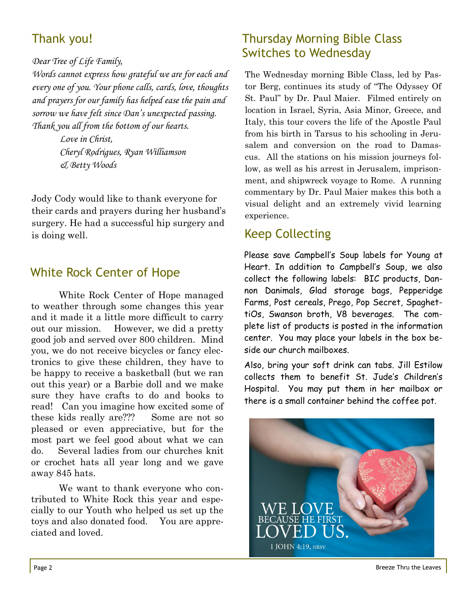# Thank you!

#### *Dear Tree of Life Family,*

*Words cannot express how grateful we are for each and every one of you. Your phone calls, cards, love, thoughts and prayers for our family has helped ease the pain and sorrow we have felt since Dan's unexpected passing. Thank you all from the bottom of our hearts.*

> *Love in Christ, Cheryl Rodrigues, Ryan Williamson & Betty Woods*

Jody Cody would like to thank everyone for their cards and prayers during her husband's surgery. He had a successful hip surgery and is doing well.

## White Rock Center of Hope

White Rock Center of Hope managed to weather through some changes this year and it made it a little more difficult to carry out our mission. However, we did a pretty good job and served over 800 children. Mind you, we do not receive bicycles or fancy electronics to give these children, they have to be happy to receive a basketball (but we ran out this year) or a Barbie doll and we make sure they have crafts to do and books to read! Can you imagine how excited some of these kids really are??? Some are not so pleased or even appreciative, but for the most part we feel good about what we can do. Several ladies from our churches knit or crochet hats all year long and we gave away 845 hats.

We want to thank everyone who contributed to White Rock this year and especially to our Youth who helped us set up the toys and also donated food. You are appreciated and loved.

## Thursday Morning Bible Class Switches to Wednesday

The Wednesday morning Bible Class, led by Pastor Berg, continues its study of "The Odyssey Of St. Paul" by Dr. Paul Maier. Filmed entirely on location in Israel, Syria, Asia Minor, Greece, and Italy, this tour covers the life of the Apostle Paul from his birth in Tarsus to his schooling in Jerusalem and conversion on the road to Damascus. All the stations on his mission journeys follow, as well as his arrest in Jerusalem, imprisonment, and shipwreck voyage to Rome. A running commentary by Dr. Paul Maier makes this both a visual delight and an extremely vivid learning experience.

## Keep Collecting

Please save Campbell's Soup labels for Young at Heart. In addition to Campbell's Soup, we also collect the following labels: BIC products, Dannon Danimals, Glad storage bags, Pepperidge Farms, Post cereals, Prego, Pop Secret, SpaghettiOs, Swanson broth, V8 beverages. The complete list of products is posted in the information center. You may place your labels in the box beside our church mailboxes.

Also, bring your soft drink can tabs. Jill Estilow collects them to benefit St. Jude's Children's Hospital. You may put them in her mailbox or there is a small container behind the coffee pot.



Page 2 Breeze Thru the Leaves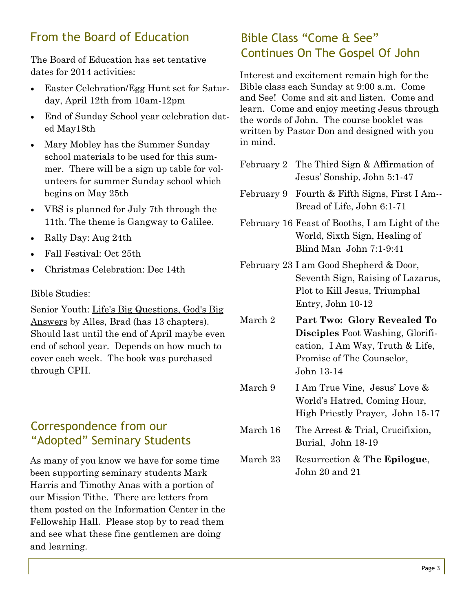## From the Board of Education

dates for 2014 activities:

- Easter Celebration/Egg Hunt set for Saturday, April 12th from 10am-12pm
- End of Sunday School year celebration dated May18th
- Mary Mobley has the Summer Sunday school materials to be used for this summer. There will be a sign up table for volunteers for summer Sunday school which begins on May 25th
- VBS is planned for July 7th through the 11th. The theme is Gangway to Galilee.
- Rally Day: Aug 24th
- Fall Festival: Oct 25th
- Christmas Celebration: Dec 14th

#### Bible Studies:

Senior Youth: Life's Big Questions, God's Big Answers by Alles, Brad (has 13 chapters). Should last until the end of April maybe even end of school year. Depends on how much to cover each week. The book was purchased through CPH.

### Correspondence from our "Adopted" Seminary Students

As many of you know we have for some time been supporting seminary students Mark Harris and Timothy Anas with a portion of our Mission Tithe. There are letters from them posted on the Information Center in the Fellowship Hall. Please stop by to read them and see what these fine gentlemen are doing and learning.

# Bible Class "Come & See" The Board of Education has set tentative **Continues On The Gospel Of John**

Interest and excitement remain high for the Bible class each Sunday at 9:00 a.m. Come and See! Come and sit and listen. Come and learn. Come and enjoy meeting Jesus through the words of John. The course booklet was written by Pastor Don and designed with you in mind.

- February 2 The Third Sign & Affirmation of Jesus' Sonship, John 5:1-47
- February 9 Fourth & Fifth Signs, First I Am-- Bread of Life, John 6:1-71
- February 16 Feast of Booths, I am Light of the World, Sixth Sign, Healing of Blind Man John 7:1-9:41
- February 23 I am Good Shepherd & Door, Seventh Sign, Raising of Lazarus, Plot to Kill Jesus, Triumphal Entry, John 10-12
- March 2 **Part Two: Glory Revealed To Disciples** Foot Washing, Glorification, I Am Way, Truth & Life, Promise of The Counselor, John 13-14
- March 9 I Am True Vine, Jesus' Love & World's Hatred, Coming Hour, High Priestly Prayer, John 15-17
- March 16 The Arrest & Trial, Crucifixion, Burial, John 18-19
- March 23 Resurrection & **The Epilogue**, John 20 and 21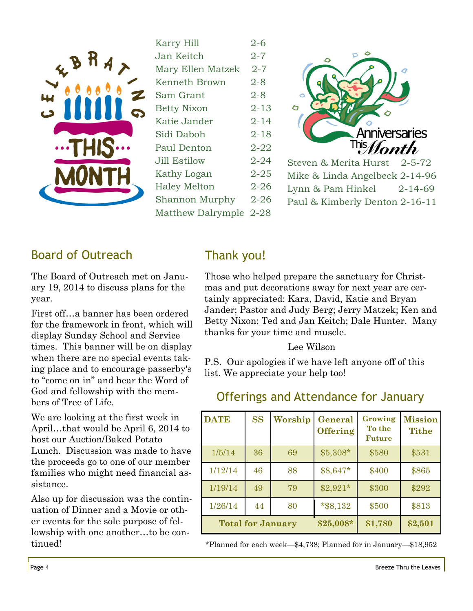

|                     | $2 - 6$  |
|---------------------|----------|
| Karry Hill          |          |
| Jan Keitch          | $2 - 7$  |
| Mary Ellen Matzek   | $2 - 7$  |
| Kenneth Brown       | $2 - 8$  |
| Sam Grant           | $2 - 8$  |
| <b>Betty Nixon</b>  | $2 - 13$ |
| Katie Jander        | $2 - 14$ |
| Sidi Daboh          | $2 - 18$ |
| Paul Denton         | 2-22     |
| <b>Jill Estilow</b> | 2-24     |
| Kathy Logan         | $2 - 25$ |
| <b>Haley Melton</b> | $2 - 26$ |
| Shannon Murphy      | $2 - 26$ |
| Matthew Dalrymple   | $2 - 28$ |
|                     |          |



Steven & Merita Hurst 2-5-72 Mike & Linda Angelbeck 2-14-96 Lynn & Pam Hinkel 2-14-69 Paul & Kimberly Denton 2-16-11

## Board of Outreach

The Board of Outreach met on January 19, 2014 to discuss plans for the year.

First off…a banner has been ordered for the framework in front, which will display Sunday School and Service times. This banner will be on display when there are no special events taking place and to encourage passerby's to "come on in" and hear the Word of God and fellowship with the members of Tree of Life.

We are looking at the first week in April…that would be April 6, 2014 to host our Auction/Baked Potato Lunch. Discussion was made to have the proceeds go to one of our member families who might need financial assistance.

Also up for discussion was the continuation of Dinner and a Movie or other events for the sole purpose of fellowship with one another…to be continued!

## Thank you!

Those who helped prepare the sanctuary for Christmas and put decorations away for next year are certainly appreciated: Kara, David, Katie and Bryan Jander; Pastor and Judy Berg; Jerry Matzek; Ken and Betty Nixon; Ted and Jan Keitch; Dale Hunter. Many thanks for your time and muscle.

#### Lee Wilson

P.S. Our apologies if we have left anyone off of this list. We appreciate your help too!

| <b>DATE</b> | <b>SS</b> | Worship                  | General<br><b>Offering</b> | Growing<br>To the<br><b>Future</b> | <b>Mission</b><br><b>Tithe</b> |
|-------------|-----------|--------------------------|----------------------------|------------------------------------|--------------------------------|
| 1/5/14      | 36        | 69                       | $$5,308*$                  | \$580                              | \$531                          |
| 1/12/14     | 46        | 88                       | \$8,647*                   | \$400                              | \$865                          |
| 1/19/14     | 49        | 79                       | $$2,921*$                  | \$300                              | \$292                          |
| 1/26/14     | 44        | 80                       | $*$ \$8,132                | \$500                              | \$813                          |
|             |           | <b>Total for January</b> | $$25,008*$                 | \$1,780                            | \$2,501                        |

### Offerings and Attendance for January

\*Planned for each week—\$4,738; Planned for in January—\$18,952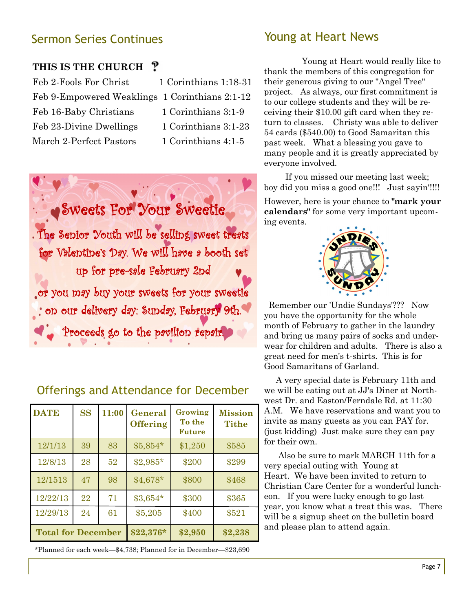### Sermon Series Continues

#### **THIS IS THE CHURCH**

| Feb 2-Fools For Christ                         | 1 Corinthians 1:18-31 |
|------------------------------------------------|-----------------------|
| Feb 9-Empowered Weaklings 1 Corinthians 2:1-12 |                       |
| Feb 16-Baby Christians                         | 1 Corinthians 3:1-9   |
| Feb 23-Divine Dwellings                        | 1 Corinthians 3:1-23  |
| March 2-Perfect Pastors                        | 1 Corinthians 4:1-5   |



### Offerings and Attendance for December

| <b>DATE</b>               | <b>SS</b> | 11:00 | General<br><b>Offering</b> | Growing<br>To the<br><b>Future</b> | <b>Mission</b><br><b>Tithe</b> |
|---------------------------|-----------|-------|----------------------------|------------------------------------|--------------------------------|
| 12/1/13                   | 39        | 83    | $$5,854*$                  | \$1,250                            | \$585                          |
| 12/8/13                   | 28        | 52    | $$2,985*$                  | \$200                              | \$299                          |
| 12/1513                   | 47        | 98    | $$4,678*$                  | \$800                              | \$468                          |
| 12/22/13                  | 22        | 71    | $$3,654*$                  | \$300                              | \$365                          |
| 12/29/13                  | 24        | 61    | \$5,205                    | \$400                              | \$521                          |
| <b>Total for December</b> |           |       | $$22,376*$                 | \$2,950                            | \$2,238                        |

\*Planned for each week—\$4,738; Planned for in December—\$23,690

#### Young at Heart News

 Young at Heart would really like to thank the members of this congregation for their generous giving to our "Angel Tree" project. As always, our first commitment is to our college students and they will be receiving their \$10.00 gift card when they return to classes. Christy was able to deliver 54 cards (\$540.00) to Good Samaritan this past week. What a blessing you gave to many people and it is greatly appreciated by everyone involved.

 If you missed our meeting last week; boy did you miss a good one!!! Just sayin'!!!!

However, here is your chance to **"mark your calendars"** for some very important upcoming events.



Remember our 'Undie Sundays'??? Now you have the opportunity for the whole month of February to gather in the laundry and bring us many pairs of socks and underwear for children and adults. There is also a great need for men's t-shirts. This is for Good Samaritans of Garland.

 A very special date is February 11th and we will be eating out at JJ's Diner at Northwest Dr. and Easton/Ferndale Rd. at 11:30 A.M. We have reservations and want you to invite as many guests as you can PAY for. (just kidding) Just make sure they can pay for their own.

 Also be sure to mark MARCH 11th for a very special outing with Young at Heart. We have been invited to return to Christian Care Center for a wonderful luncheon. If you were lucky enough to go last year, you know what a treat this was. There will be a signup sheet on the bulletin board and please plan to attend again.